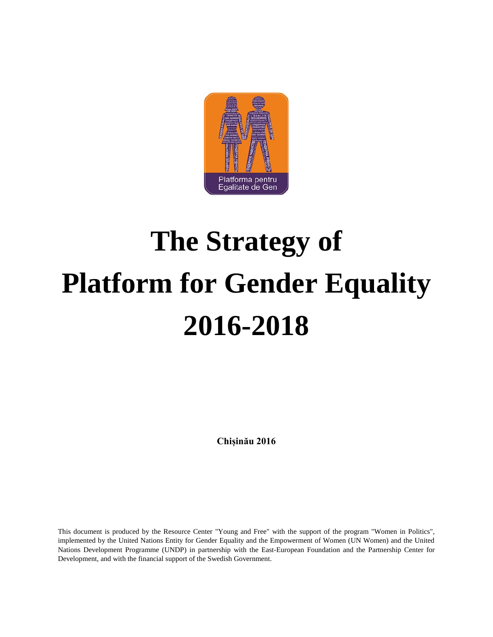

# **The Strategy of Platform for Gender Equality 2016-2018**

**Chișinău 2016**

This document is produced by the Resource Center "Young and Free" with the support of the program "Women in Politics", implemented by the United Nations Entity for Gender Equality and the Empowerment of Women (UN Women) and the United Nations Development Programme (UNDP) in partnership with the East-European Foundation and the Partnership Center for Development, and with the financial support of the Swedish Government.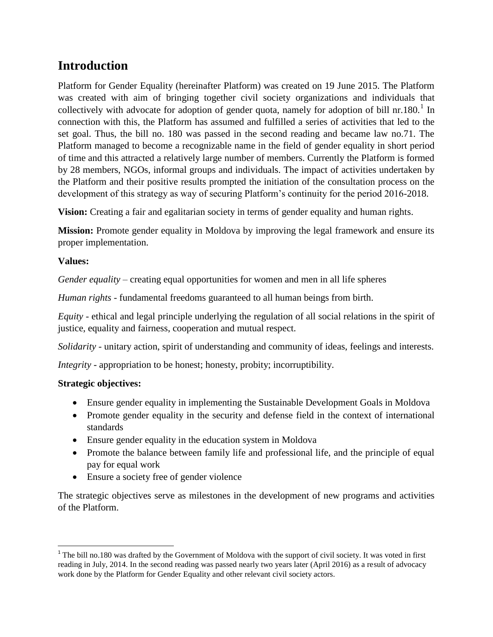# **Introduction**

Platform for Gender Equality (hereinafter Platform) was created on 19 June 2015. The Platform was created with aim of bringing together civil society organizations and individuals that collectively with advocate for adoption of gender quota, namely for adoption of bill nr.180.<sup>1</sup> In connection with this, the Platform has assumed and fulfilled a series of activities that led to the set goal. Thus, the bill no. 180 was passed in the second reading and became law no.71. The Platform managed to become a recognizable name in the field of gender equality in short period of time and this attracted a relatively large number of members. Currently the Platform is formed by 28 members, NGOs, informal groups and individuals. The impact of activities undertaken by the Platform and their positive results prompted the initiation of the consultation process on the development of this strategy as way of securing Platform's continuity for the period 2016-2018.

**Vision:** Creating a fair and egalitarian society in terms of gender equality and human rights.

**Mission:** Promote gender equality in Moldova by improving the legal framework and ensure its proper implementation.

#### **Values:**

 $\overline{\phantom{a}}$ 

*Gender equality* – creating equal opportunities for women and men in all life spheres

*Human rights* - fundamental freedoms guaranteed to all human beings from birth.

*Equity* - ethical and legal principle underlying the regulation of all social relations in the spirit of justice, equality and fairness, cooperation and mutual respect.

*Solidarity* - unitary action, spirit of understanding and community of ideas, feelings and interests.

*Integrity* - appropriation to be honest; honesty, probity; incorruptibility.

#### **Strategic objectives:**

- Ensure gender equality in implementing the Sustainable Development Goals in Moldova
- Promote gender equality in the security and defense field in the context of international standards
- Ensure gender equality in the education system in Moldova
- Promote the balance between family life and professional life, and the principle of equal pay for equal work
- Ensure a society free of gender violence

The strategic objectives serve as milestones in the development of new programs and activities of the Platform.

 $1$ <sup>1</sup> The bill no.180 was drafted by the Government of Moldova with the support of civil society. It was voted in first reading in July, 2014. In the second reading was passed nearly two years later (April 2016) as a result of advocacy work done by the Platform for Gender Equality and other relevant civil society actors.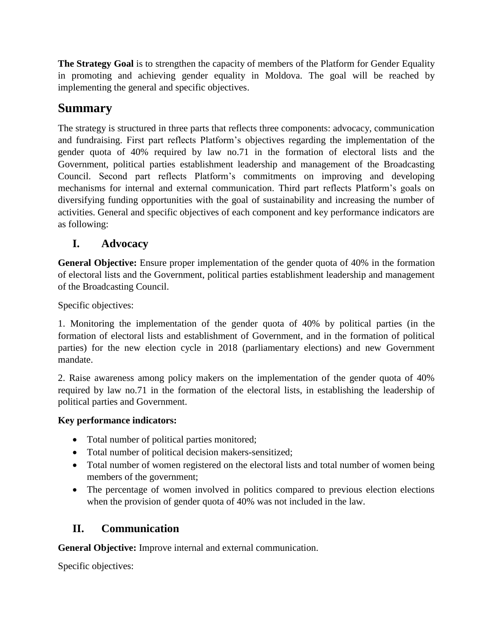**The Strategy Goal** is to strengthen the capacity of members of the Platform for Gender Equality in promoting and achieving gender equality in Moldova. The goal will be reached by implementing the general and specific objectives.

# **Summary**

The strategy is structured in three parts that reflects three components: advocacy, communication and fundraising. First part reflects Platform's objectives regarding the implementation of the gender quota of 40% required by law no.71 in the formation of electoral lists and the Government, political parties establishment leadership and management of the Broadcasting Council. Second part reflects Platform's commitments on improving and developing mechanisms for internal and external communication. Third part reflects Platform's goals on diversifying funding opportunities with the goal of sustainability and increasing the number of activities. General and specific objectives of each component and key performance indicators are as following:

## **I. Advocacy**

**General Objective:** Ensure proper implementation of the gender quota of 40% in the formation of electoral lists and the Government, political parties establishment leadership and management of the Broadcasting Council.

Specific objectives:

1. Monitoring the implementation of the gender quota of 40% by political parties (in the formation of electoral lists and establishment of Government, and in the formation of political parties) for the new election cycle in 2018 (parliamentary elections) and new Government mandate.

2. Raise awareness among policy makers on the implementation of the gender quota of 40% required by law no.71 in the formation of the electoral lists, in establishing the leadership of political parties and Government.

#### **Key performance indicators:**

- Total number of political parties monitored;
- Total number of political decision makers-sensitized;
- Total number of women registered on the electoral lists and total number of women being members of the government;
- The percentage of women involved in politics compared to previous election elections when the provision of gender quota of 40% was not included in the law.

## **II. Communication**

**General Objective:** Improve internal and external communication.

Specific objectives: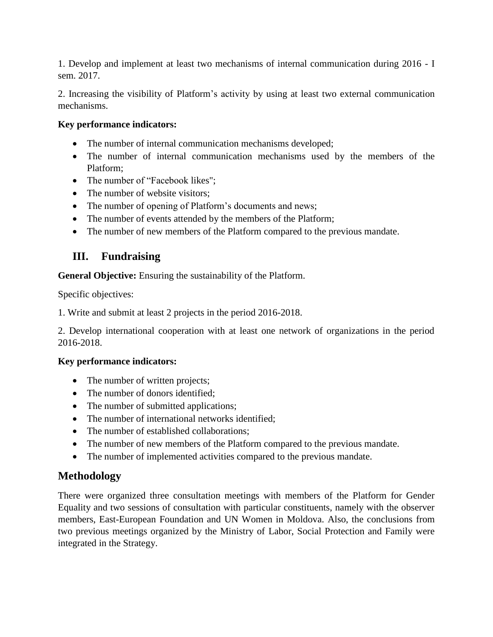1. Develop and implement at least two mechanisms of internal communication during 2016 - I sem. 2017.

2. Increasing the visibility of Platform's activity by using at least two external communication mechanisms.

#### **Key performance indicators:**

- The number of internal communication mechanisms developed;
- The number of internal communication mechanisms used by the members of the Platform;
- The number of "Facebook likes";
- The number of website visitors:
- The number of opening of Platform's documents and news;
- The number of events attended by the members of the Platform;
- The number of new members of the Platform compared to the previous mandate.

### **III. Fundraising**

**General Objective:** Ensuring the sustainability of the Platform.

Specific objectives:

1. Write and submit at least 2 projects in the period 2016-2018.

2. Develop international cooperation with at least one network of organizations in the period 2016-2018.

#### **Key performance indicators:**

- The number of written projects;
- The number of donors identified:
- The number of submitted applications;
- The number of international networks identified:
- The number of established collaborations:
- The number of new members of the Platform compared to the previous mandate.
- The number of implemented activities compared to the previous mandate.

#### **Methodology**

There were organized three consultation meetings with members of the Platform for Gender Equality and two sessions of consultation with particular constituents, namely with the observer members, East-European Foundation and UN Women in Moldova. Also, the conclusions from two previous meetings organized by the Ministry of Labor, Social Protection and Family were integrated in the Strategy.